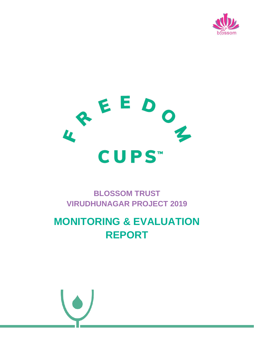



## **BLOSSOM TRUST VIRUDHUNAGAR PROJECT 2019**

# **MONITORING & EVALUATION REPORT**

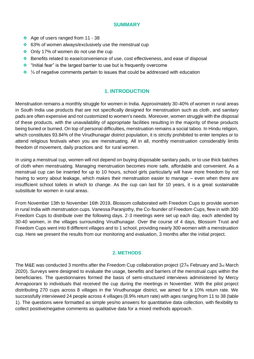#### **SUMMARY**

- ❖ Age of users ranged from 11 38
- ❖ 63% of women always/exclusively use the menstrual cup
- ❖ Only 17% of women do not use the cup
- ❖ Benefits related to ease/convenience of use, cost effectiveness, and ease of disposal
- ❖ "Initial fear" is the largest barrier to use but is frequently overcome
- ❖ ⅓ of negative comments pertain to issues that could be addressed with education

### **1. INTRODUCTION**

Menstruation remains a monthly struggle for women in India. Approximately 30-40% of women in rural areas in South India use products that are not specifically designed for menstruation such as cloth, and sanitary pads are often expensive and not customized to women's needs. Moreover, women struggle with the disposal of these products, with the unavailability of appropriate facilities resulting in the majority of these products being buried or burned. On top of personal difficulties, menstruation remains a social taboo. In Hindu religion, which constitutes 93.84% of the Virudhunagar district population, it is strictly prohibited to enter temples or to attend religious festivals when you are menstruating. All in all, monthly menstruation considerably limits freedom of movement, daily practices and for rural women.

In using a menstrual cup, women will not depend on buying disposable sanitary pads, or to use thick batches of cloth when menstruating. Managing menstruation becomes more safe, affordable and convenient. As a menstrual cup can be inserted for up to 10 hours, school girls particularly will have more freedom by not having to worry about leakage, which makes their menstruation easier to manage – even when there are insufficient school toilets in which to change. As the cup can last for 10 years, it is a great sustainable substitute for women in rural areas.

From November 13th to November 16th 2019, Blossom collaborated with Freedom Cups to provide women in rural India with menstruation cups. Vanessa Paranjothy, the Co-founder of Freedom Cups, flew in with 300 Freedom Cups to distribute over the following days. 2-3 meetings were set up each day, each attended by 30-40 women, in the villages surrounding Virudhunagar. Over the course of 4 days, Blossom Trust and Freedom Cups went into 8 different villages and to 1 school, providing nearly 300 women with a menstruation cup. Here we present the results from our monitoring and evaluation, 3 months after the initial project.

#### **2. METHODS**

The M&E was conducted 3 months after the Freedom Cup collaboration project ( $27<sub>th</sub>$  February and  $3<sub>rd</sub>$  March 2020). Surveys were designed to evaluate the usage, benefits and barriers of the menstrual cups within the beneficiaries. The questionnaires formed the basis of semi-structured interviews administered by Mercy Annapoorani to individuals that received the cup during the meetings in November. With the pilot project distributing 270 cups across 8 villages in the Virudhunagar district, we aimed for a 10% return rate. We successfully interviewed 24 people across 4 villages (8.9% return rate) with ages ranging from 11 to 38 (table 1). The questions were formatted as simple yes/no answers for quantitative data collection, with flexibility to collect positive/negative comments as qualitative data for a mixed methods approach.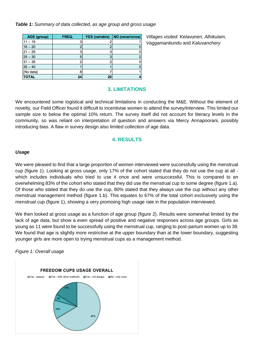*Table 1: Summary of data collected, as age group and gross usage*

| <b>AGE (group)</b> | FREQ. | <b>YES</b> (variable) | NO (never/once) |
|--------------------|-------|-----------------------|-----------------|
| $11 - 15$          |       |                       |                 |
| $16 - 20$          |       |                       |                 |
| $21 - 25$          |       |                       |                 |
| $25 - 30$          |       |                       | 2               |
| $31 - 35$          |       |                       |                 |
| $35 - 40$          |       |                       |                 |
| [No data]          |       |                       |                 |
| <b>TOTAL</b>       | 24    | 20                    |                 |

*Villages visited: Kelavuneri, Alhikulam, Vaggamankundu* and *Kaluvanchery*

#### **3. LIMITATIONS**

We encountered some logistical and technical limitations in conducting the M&E. Without the element of novelty, our Field Officer found it difficult to incentivise women to attend the survey/interview. This limited our sample size to below the optimal 10% return. The survey itself did not account for literacy levels in the community, so was reliant on interpretation of question and answers via Mercy Annapoorani, possibly introducing bias. A flaw in survey design also limited collection of age data.

#### **4. RESULTS**

#### *Usage*

We were pleased to find that a large proportion of women interviewed were successfully using the menstrual cup (figure 1). Looking at gross usage, only 17% of the cohort stated that they do not use the cup at all which includes individuals who tried to use it once and were unsuccessful. This is compared to an overwhelming 83% of the cohort who stated that they did use the menstrual cup to some degree (figure 1.a). Of those who stated that they do use the cup, 80% stated that they always use the cup without any other menstrual management method (figure 1.b). This equates to 67% of the total cohort exclusively using the menstrual cup (figure 1), showing a very promising high usage rate in the population interviewed.

We then looked at gross usage as a function of age group (figure 2). Results were somewhat limited by the lack of age data, but show a even spread of positive and negative responses across age groups. Girls as young as 11 were found to be successfully using the menstrual cup, ranging to post-partum women up to 38. We found that age is slightly more restrictive at the upper boundary than at the lower boundary, suggesting younger girls are more open to trying menstrual cups as a management method.

*Figure 1: Overall usage* 

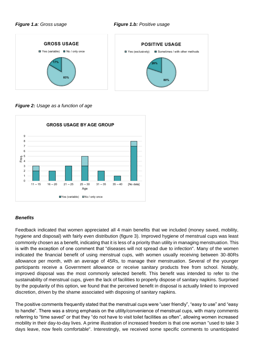

*Figure 2: Usage as a function of age* 



#### *Benefits*

Feedback indicated that women appreciated all 4 main benefits that we included (money saved, mobility, hygiene and disposal) with fairly even distribution (figure 3). Improved hygiene of menstrual cups was least commonly chosen as a benefit, indicating that it is less of a priority than utility in managing menstruation. This is with the exception of one comment that "diseases will not spread due to infection". Many of the women indicated the financial benefit of using menstrual cups, with women usually receiving between 30-80Rs allowance per month, with an average of 45Rs, to manage their menstruation. Several of the younger participants receive a Government allowance or receive sanitary products free from school. Notably, improved disposal was the most commonly selected benefit. This benefit was intended to refer to the sustainability of menstrual cups, given the lack of facilities to properly dispose of sanitary napkins. Surprised by the popularity of this option, we found that the perceived benefit in disposal is actually linked to improved discretion, driven by the shame associated with disposing of sanitary napkins.

The positive comments frequently stated that the menstrual cups were "user friendly", "easy to use" and "easy to handle". There was a strong emphasis on the utility/convenience of menstrual cups, with many comments referring to "time saved" or that they "do not have to visit toilet facilities as often", allowing women increased mobility in their day-to-day lives. A prime illustration of increased freedom is that one woman "used to take 3 days leave, now feels comfortable". Interestingly, we received some specific comments to unanticipated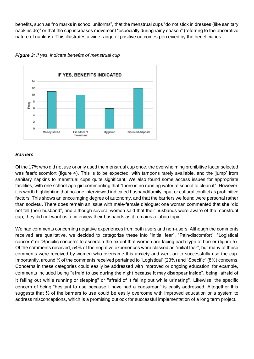benefits, such as "no marks in school uniforms", that the menstrual cups "do not stick in dresses (like sanitary napkins do)" or that the cup increases movement "especially during rainy season" (referring to the absorptive nature of napkins). This illustrates a wide range of positive outcomes perceived by the beneficiaries.





#### *Barriers*

Of the 17% who did not use or only used the menstrual cup once, the overwhelming prohibitive factor selected was fear/discomfort (figure 4). This is to be expected, with tampons rarely available, and the 'jump' from sanitary napkins to menstrual cups quite significant. We also found some access issues for appropriate facilities, with one school-age girl commenting that "there is no running water at school to clean it". However, it is worth highlighting that no-one interviewed indicated husband/family input or cultural conflict as prohibitive factors. This shows an encouraging degree of autonomy, and that the barriers we found were personal rather than societal. There does remain an issue with male-female dialogue: one woman commented that she "did not tell (her) husband", and although several women said that their husbands were aware of the menstrual cup, they did not want us to interview their husbands as it remains a taboo topic.

We had comments concerning negative experiences from both users and non-users. Although the comments received are qualitative, we decided to categorize these into "Initial fear", "Pain/discomfort", "Logistical concern" or "Specific concern" to ascertain the extent that women are facing each type of barrier (figure 5). Of the comments received, 54% of the negative experiences were classed as "initial fear", but many of these comments were received by women who overcame this anxiety and went on to successfully use the cup. Importantly, around ⅓ of the comments received pertained to "Logistical" (23%) and "Specific" (8%) concerns. Concerns in these categories could easily be addressed with improved or ongoing education: for example, comments included being "afraid to use during the night because it may disappear inside", being "afraid of it falling out while running or sleeping" or "afraid of it falling out while urinating". Likewise, the specific concern of being "hesitant to use because I have had a caesarean" is easily addressed. Altogether this suggests that 1<sup>2</sup> of the barriers to use could be easily overcome with improved education or a system to address misconceptions, which is a promising outlook for successful implementation of a long term project.